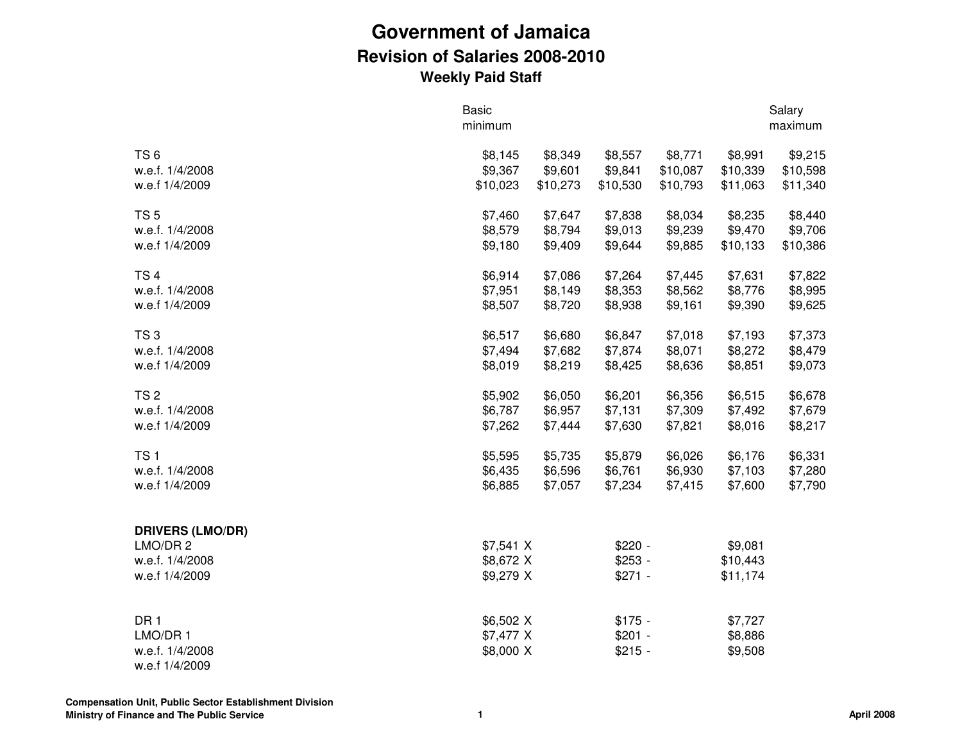|                             | <b>Basic</b><br>minimum |          |                      |          |                     | Salary<br>maximum |
|-----------------------------|-------------------------|----------|----------------------|----------|---------------------|-------------------|
|                             |                         |          |                      |          |                     |                   |
| TS <sub>6</sub>             | \$8,145                 | \$8,349  | \$8,557              | \$8,771  | \$8,991             | \$9,215           |
| w.e.f. 1/4/2008             | \$9,367                 | \$9,601  | \$9,841              | \$10,087 | \$10,339            | \$10,598          |
| w.e.f 1/4/2009              | \$10,023                | \$10,273 | \$10,530             | \$10,793 | \$11,063            | \$11,340          |
| TS <sub>5</sub>             | \$7,460                 | \$7,647  | \$7,838              | \$8,034  | \$8,235             | \$8,440           |
| w.e.f. 1/4/2008             | \$8,579                 | \$8,794  | \$9,013              | \$9,239  | \$9,470             | \$9,706           |
| w.e.f 1/4/2009              | \$9,180                 | \$9,409  | \$9,644              | \$9,885  | \$10,133            | \$10,386          |
| TS <sub>4</sub>             | \$6,914                 | \$7,086  | \$7,264              | \$7,445  | \$7,631             | \$7,822           |
| w.e.f. 1/4/2008             | \$7,951                 | \$8,149  | \$8,353              | \$8,562  | \$8,776             | \$8,995           |
| w.e.f 1/4/2009              | \$8,507                 | \$8,720  | \$8,938              | \$9,161  | \$9,390             | \$9,625           |
| TS <sub>3</sub>             | \$6,517                 | \$6,680  | \$6,847              | \$7,018  | \$7,193             | \$7,373           |
| w.e.f. 1/4/2008             | \$7,494                 | \$7,682  | \$7,874              | \$8,071  | \$8,272             | \$8,479           |
| w.e.f 1/4/2009              | \$8,019                 | \$8,219  | \$8,425              | \$8,636  | \$8,851             | \$9,073           |
| TS <sub>2</sub>             | \$5,902                 | \$6,050  | \$6,201              | \$6,356  | \$6,515             | \$6,678           |
| w.e.f. 1/4/2008             | \$6,787                 | \$6,957  | \$7,131              | \$7,309  | \$7,492             | \$7,679           |
| w.e.f 1/4/2009              | \$7,262                 | \$7,444  | \$7,630              | \$7,821  | \$8,016             | \$8,217           |
| TS <sub>1</sub>             | \$5,595                 | \$5,735  | \$5,879              | \$6,026  | \$6,176             | \$6,331           |
| w.e.f. 1/4/2008             | \$6,435                 | \$6,596  | \$6,761              | \$6,930  | \$7,103             | \$7,280           |
| w.e.f 1/4/2009              | \$6,885                 | \$7,057  | \$7,234              | \$7,415  | \$7,600             | \$7,790           |
|                             |                         |          |                      |          |                     |                   |
| <b>DRIVERS (LMO/DR)</b>     |                         |          |                      |          |                     |                   |
| LMO/DR 2<br>w.e.f. 1/4/2008 | \$7,541 X<br>\$8,672 X  |          | $$220 -$<br>$$253 -$ |          | \$9,081<br>\$10,443 |                   |
| w.e.f 1/4/2009              | \$9,279 X               |          | $$271 -$             |          | \$11,174            |                   |
|                             |                         |          |                      |          |                     |                   |
| DR <sub>1</sub>             | \$6,502 X               |          | $$175 -$             |          | \$7,727             |                   |
| LMO/DR 1                    | \$7,477 X               |          | $$201 -$             |          | \$8,886             |                   |
| w.e.f. 1/4/2008             | \$8,000 X               |          | $$215 -$             |          | \$9,508             |                   |
| w.e.f 1/4/2009              |                         |          |                      |          |                     |                   |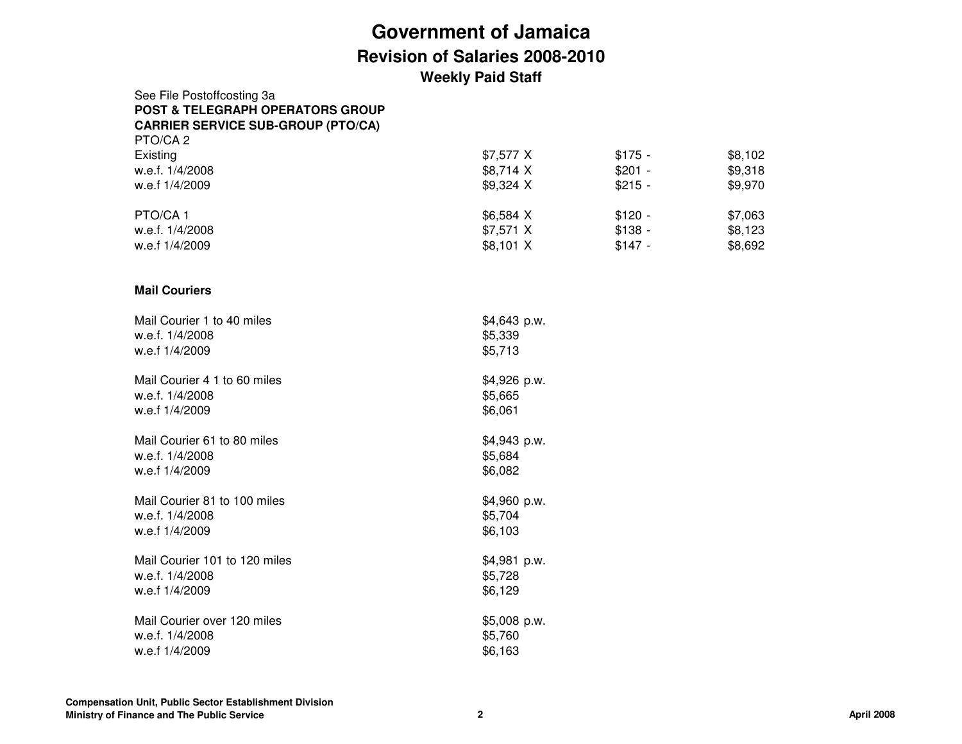| See File Postoffcosting 3a                  |            |          |         |
|---------------------------------------------|------------|----------|---------|
| <b>POST &amp; TELEGRAPH OPERATORS GROUP</b> |            |          |         |
| <b>CARRIER SERVICE SUB-GROUP (PTO/CA)</b>   |            |          |         |
| PTO/CA 2                                    |            |          |         |
| Existing                                    | \$7,577 X  | $$175 -$ | \$8,102 |
| w.e.f. 1/4/2008                             | \$8,714 X  | $$201 -$ | \$9,318 |
| w.e.f 1/4/2009                              | $$9,324$ X | $$215 -$ | \$9,970 |
| PTO/CA1                                     | \$6,584 X  | $$120 -$ | \$7,063 |
| w.e.f. 1/4/2008                             | $$7,571$ X | $$138 -$ | \$8,123 |
| w.e.f 1/4/2009                              | $$8,101$ X | $$147 -$ | \$8,692 |
|                                             |            |          |         |

#### **Mail Couriers**

| Mail Courier 1 to 40 miles    | \$4,643 p.w.  |
|-------------------------------|---------------|
| w.e.f. 1/4/2008               | \$5,339       |
| w.e.f 1/4/2009                | \$5,713       |
| Mail Courier 4 1 to 60 miles  | \$4,926 p.w.  |
| w.e.f. 1/4/2008               | \$5,665       |
| w.e.f 1/4/2009                | \$6,061       |
| Mail Courier 61 to 80 miles   | \$4,943 p.w.  |
| w.e.f. 1/4/2008               | \$5,684       |
| w.e.f 1/4/2009                | \$6,082       |
| Mail Courier 81 to 100 miles  | \$4,960 p.w.  |
| w.e.f. 1/4/2008               | \$5,704       |
| w.e.f 1/4/2009                | \$6,103       |
| Mail Courier 101 to 120 miles | $$4,981$ p.w. |
| w.e.f. 1/4/2008               | \$5,728       |
| w.e.f 1/4/2009                | \$6,129       |
| Mail Courier over 120 miles   | $$5,008$ p.w. |
| w.e.f. 1/4/2008               | \$5,760       |
| w.e.f 1/4/2009                | \$6,163       |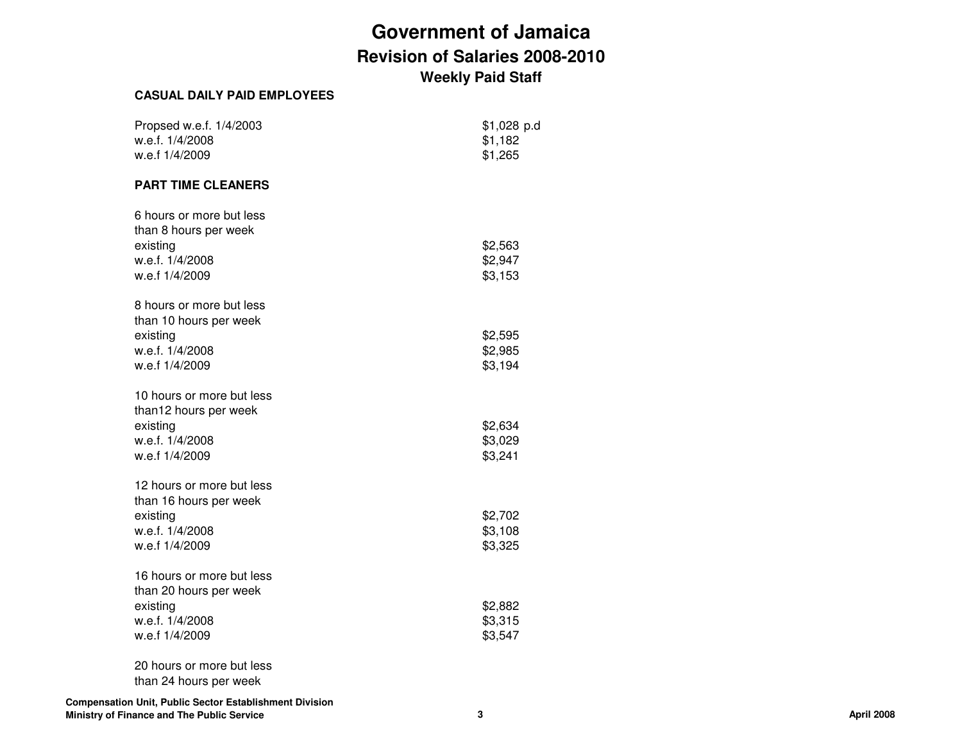#### **CASUAL DAILY PAID EMPLOYEES**

| Propsed w.e.f. 1/4/2003<br>w.e.f. 1/4/2008<br>w.e.f 1/4/2009                                         | \$1,028 p.d<br>\$1,182<br>\$1,265 |  |
|------------------------------------------------------------------------------------------------------|-----------------------------------|--|
| <b>PART TIME CLEANERS</b>                                                                            |                                   |  |
| 6 hours or more but less<br>than 8 hours per week<br>existing<br>w.e.f. 1/4/2008<br>w.e.f 1/4/2009   | \$2,563<br>\$2,947<br>\$3,153     |  |
| 8 hours or more but less<br>than 10 hours per week<br>existing<br>w.e.f. 1/4/2008<br>w.e.f 1/4/2009  | \$2,595<br>\$2,985<br>\$3,194     |  |
| 10 hours or more but less<br>than12 hours per week<br>existing<br>w.e.f. 1/4/2008<br>w.e.f 1/4/2009  | \$2,634<br>\$3,029<br>\$3,241     |  |
| 12 hours or more but less<br>than 16 hours per week<br>existing<br>w.e.f. 1/4/2008<br>w.e.f 1/4/2009 | \$2,702<br>\$3,108<br>\$3,325     |  |
| 16 hours or more but less<br>than 20 hours per week<br>existing<br>w.e.f. 1/4/2008<br>w.e.f 1/4/2009 | \$2,882<br>\$3,315<br>\$3,547     |  |
| 20 hours or more but less<br>than 24 hours per week                                                  |                                   |  |

**Compensation Unit, Public Sector Establishment DivisionMinistry of Finance and The Public Service<sup>3</sup> April 2008**